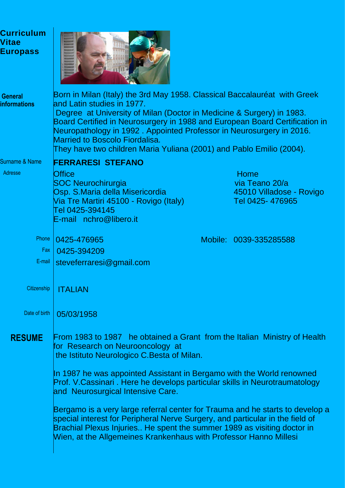| <b>Curriculum</b><br><b>Vitae</b><br><b>Europass</b> |                                                                                                                                                                                                                                                                                                                                                                                                                                                                                                                                                                                                                                                                            |  |                                                                       |
|------------------------------------------------------|----------------------------------------------------------------------------------------------------------------------------------------------------------------------------------------------------------------------------------------------------------------------------------------------------------------------------------------------------------------------------------------------------------------------------------------------------------------------------------------------------------------------------------------------------------------------------------------------------------------------------------------------------------------------------|--|-----------------------------------------------------------------------|
| <b>General</b><br><b>informations</b>                | Born in Milan (Italy) the 3rd May 1958. Classical Baccalauréat with Greek<br>land Latin studies in 1977.<br>Degree at University of Milan (Doctor in Medicine & Surgery) in 1983.<br>Board Certified in Neurosurgery in 1988 and European Board Certification in<br>Neuropathology in 1992. Appointed Professor in Neurosurgery in 2016.<br><b>Married to Boscolo Fiordalisa.</b><br>They have two children Maria Yuliana (2001) and Pablo Emilio (2004).                                                                                                                                                                                                                  |  |                                                                       |
| Surname & Name<br>Adresse                            | <b>FERRARESI STEFANO</b><br><b>Office</b><br><b>SOC Neurochirurgia</b><br>Osp. S.Maria della Misericordia<br>Via Tre Martiri 45100 - Rovigo (Italy)<br>Tel 0425-394145<br>E-mail nchro@libero.it                                                                                                                                                                                                                                                                                                                                                                                                                                                                           |  | Home<br>via Teano 20/a<br>45010 Villadose - Rovigo<br>Tel 0425-476965 |
| Phone<br>Fax<br>$E$ -mail                            | 0425-476965<br>0425-394209<br>steveferraresi@gmail.com                                                                                                                                                                                                                                                                                                                                                                                                                                                                                                                                                                                                                     |  | Mobile: 0039-335285588                                                |
| Citizenship<br>Date of birth                         | ITALIAN<br>05/03/1958                                                                                                                                                                                                                                                                                                                                                                                                                                                                                                                                                                                                                                                      |  |                                                                       |
| <b>RESUME</b>                                        | From 1983 to 1987 he obtained a Grant from the Italian Ministry of Health<br>for Research on Neurooncology at<br>the Istituto Neurologico C. Besta of Milan.<br>In 1987 he was appointed Assistant in Bergamo with the World renowned<br>Prof. V.Cassinari. Here he develops particular skills in Neurotraumatology<br>and Neurosurgical Intensive Care.<br>Bergamo is a very large referral center for Trauma and he starts to develop a<br>special interest for Peripheral Nerve Surgery, and particular in the field of<br>Brachial Plexus Injuries He spent the summer 1989 as visiting doctor in<br>Wien, at the Allgemeines Krankenhaus with Professor Hanno Millesi |  |                                                                       |
|                                                      |                                                                                                                                                                                                                                                                                                                                                                                                                                                                                                                                                                                                                                                                            |  |                                                                       |
|                                                      |                                                                                                                                                                                                                                                                                                                                                                                                                                                                                                                                                                                                                                                                            |  |                                                                       |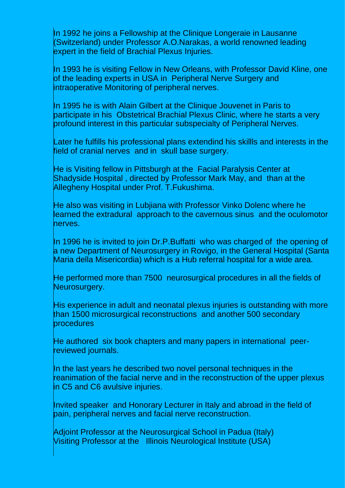In 1992 he joins a Fellowship at the Clinique Longeraie in Lausanne (Switzerland) under Professor A.O.Narakas, a world renowned leading expert in the field of Brachial Plexus Injuries.

In 1993 he is visiting Fellow in New Orleans, with Professor David Kline, one of the leading experts in USA in Peripheral Nerve Surgery and intraoperative Monitoring of peripheral nerves.

In 1995 he is with Alain Gilbert at the Clinique Jouvenet in Paris to participate in his Obstetrical Brachial Plexus Clinic, where he starts a very profound interest in this particular subspecialty of Peripheral Nerves.

Later he fulfills his professional plans extendind his skillls and interests in the field of cranial nerves and in skull base surgery.

He is Visiting fellow in Pittsburgh at the Facial Paralysis Center at Shadyside Hospital , directed by Professor Mark May, and than at the Allegheny Hospital under Prof. T.Fukushima.

He also was visiting in Lubjiana with Professor Vinko Dolenc where he learned the extradural approach to the cavernous sinus and the oculomotor nerves.

In 1996 he is invited to join Dr.P.Buffatti who was charged of the opening of a new Department of Neurosurgery in Rovigo, in the General Hospital (Santa Maria della Misericordia) which is a Hub referral hospital for a wide area.

He performed more than 7500 neurosurgical procedures in all the fields of Neurosurgery.

His experience in adult and neonatal plexus injuries is outstanding with more than 1500 microsurgical reconstructions and another 500 secondary procedures

He authored six book chapters and many papers in international peerreviewed journals.

In the last years he described two novel personal techniques in the reanimation of the facial nerve and in the reconstruction of the upper plexus in C5 and C6 avulsive injuries.

Invited speaker and Honorary Lecturer in Italy and abroad in the field of pain, peripheral nerves and facial nerve reconstruction.

Adjoint Professor at the Neurosurgical School in Padua (Italy) Visiting Professor at the Illinois Neurological Institute (USA)